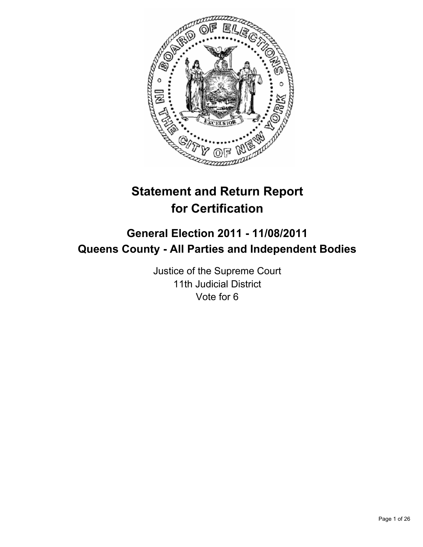

# **Statement and Return Report for Certification**

## **General Election 2011 - 11/08/2011 Queens County - All Parties and Independent Bodies**

Justice of the Supreme Court 11th Judicial District Vote for 6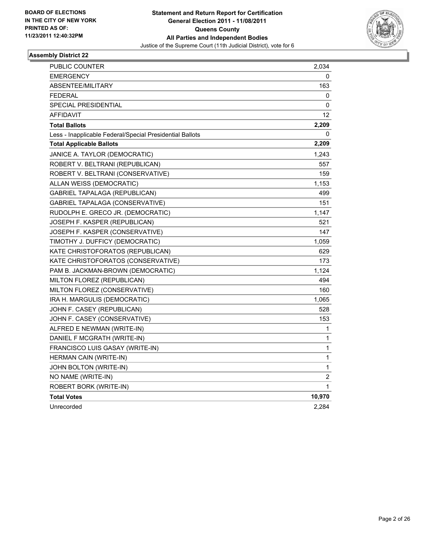

| <b>PUBLIC COUNTER</b>                                    | 2,034  |
|----------------------------------------------------------|--------|
| <b>EMERGENCY</b>                                         | 0      |
| ABSENTEE/MILITARY                                        | 163    |
| <b>FEDERAL</b>                                           | 0      |
| SPECIAL PRESIDENTIAL                                     | 0      |
| <b>AFFIDAVIT</b>                                         | 12     |
| <b>Total Ballots</b>                                     | 2,209  |
| Less - Inapplicable Federal/Special Presidential Ballots | 0      |
| <b>Total Applicable Ballots</b>                          | 2,209  |
| JANICE A. TAYLOR (DEMOCRATIC)                            | 1,243  |
| ROBERT V. BELTRANI (REPUBLICAN)                          | 557    |
| ROBERT V. BELTRANI (CONSERVATIVE)                        | 159    |
| ALLAN WEISS (DEMOCRATIC)                                 | 1,153  |
| <b>GABRIEL TAPALAGA (REPUBLICAN)</b>                     | 499    |
| GABRIEL TAPALAGA (CONSERVATIVE)                          | 151    |
| RUDOLPH E. GRECO JR. (DEMOCRATIC)                        | 1,147  |
| JOSEPH F. KASPER (REPUBLICAN)                            | 521    |
| JOSEPH F. KASPER (CONSERVATIVE)                          | 147    |
| TIMOTHY J. DUFFICY (DEMOCRATIC)                          | 1,059  |
| KATE CHRISTOFORATOS (REPUBLICAN)                         | 629    |
| KATE CHRISTOFORATOS (CONSERVATIVE)                       | 173    |
| PAM B. JACKMAN-BROWN (DEMOCRATIC)                        | 1,124  |
| MILTON FLOREZ (REPUBLICAN)                               | 494    |
| MILTON FLOREZ (CONSERVATIVE)                             | 160    |
| IRA H. MARGULIS (DEMOCRATIC)                             | 1,065  |
| JOHN F. CASEY (REPUBLICAN)                               | 528    |
| JOHN F. CASEY (CONSERVATIVE)                             | 153    |
| ALFRED E NEWMAN (WRITE-IN)                               | 1      |
| DANIEL F MCGRATH (WRITE-IN)                              | 1      |
| FRANCISCO LUIS GASAY (WRITE-IN)                          | 1      |
| HERMAN CAIN (WRITE-IN)                                   | 1      |
| JOHN BOLTON (WRITE-IN)                                   | 1      |
| NO NAME (WRITE-IN)                                       | 2      |
| ROBERT BORK (WRITE-IN)                                   | 1      |
| <b>Total Votes</b>                                       | 10,970 |
| Unrecorded                                               | 2,284  |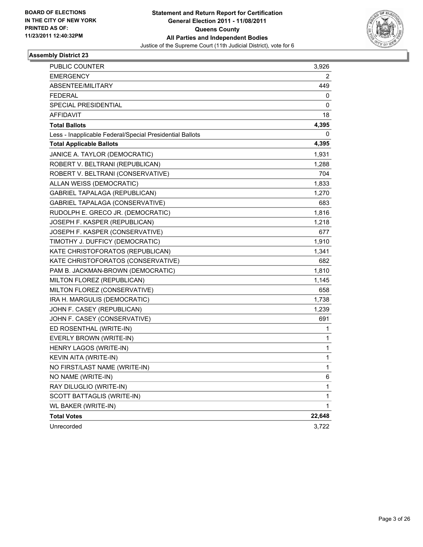

| <b>PUBLIC COUNTER</b>                                    | 3,926  |
|----------------------------------------------------------|--------|
| <b>EMERGENCY</b>                                         | 2      |
| ABSENTEE/MILITARY                                        | 449    |
| <b>FEDERAL</b>                                           | 0      |
| SPECIAL PRESIDENTIAL                                     | 0      |
| AFFIDAVIT                                                | 18     |
| <b>Total Ballots</b>                                     | 4,395  |
| Less - Inapplicable Federal/Special Presidential Ballots | 0      |
| <b>Total Applicable Ballots</b>                          | 4,395  |
| JANICE A. TAYLOR (DEMOCRATIC)                            | 1,931  |
| ROBERT V. BELTRANI (REPUBLICAN)                          | 1,288  |
| ROBERT V. BELTRANI (CONSERVATIVE)                        | 704    |
| ALLAN WEISS (DEMOCRATIC)                                 | 1,833  |
| <b>GABRIEL TAPALAGA (REPUBLICAN)</b>                     | 1,270  |
| GABRIEL TAPALAGA (CONSERVATIVE)                          | 683    |
| RUDOLPH E. GRECO JR. (DEMOCRATIC)                        | 1,816  |
| JOSEPH F. KASPER (REPUBLICAN)                            | 1,218  |
| JOSEPH F. KASPER (CONSERVATIVE)                          | 677    |
| TIMOTHY J. DUFFICY (DEMOCRATIC)                          | 1,910  |
| KATE CHRISTOFORATOS (REPUBLICAN)                         | 1,341  |
| KATE CHRISTOFORATOS (CONSERVATIVE)                       | 682    |
| PAM B. JACKMAN-BROWN (DEMOCRATIC)                        | 1,810  |
| MILTON FLOREZ (REPUBLICAN)                               | 1,145  |
| MILTON FLOREZ (CONSERVATIVE)                             | 658    |
| IRA H. MARGULIS (DEMOCRATIC)                             | 1,738  |
| JOHN F. CASEY (REPUBLICAN)                               | 1,239  |
| JOHN F. CASEY (CONSERVATIVE)                             | 691    |
| ED ROSENTHAL (WRITE-IN)                                  | 1      |
| EVERLY BROWN (WRITE-IN)                                  | 1      |
| HENRY LAGOS (WRITE-IN)                                   | 1      |
| KEVIN AITA (WRITE-IN)                                    | 1      |
| NO FIRST/LAST NAME (WRITE-IN)                            | 1      |
| NO NAME (WRITE-IN)                                       | 6      |
| RAY DILUGLIO (WRITE-IN)                                  | 1      |
| SCOTT BATTAGLIS (WRITE-IN)                               | 1      |
| WL BAKER (WRITE-IN)                                      | 1      |
| <b>Total Votes</b>                                       | 22,648 |
| Unrecorded                                               | 3,722  |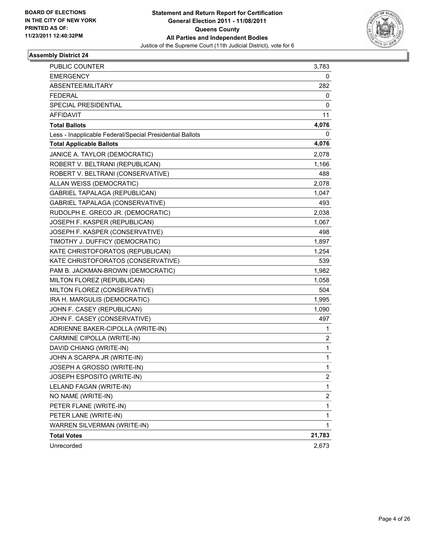

| PUBLIC COUNTER                                           | 3,783                   |
|----------------------------------------------------------|-------------------------|
| <b>EMERGENCY</b>                                         | 0                       |
| ABSENTEE/MILITARY                                        | 282                     |
| <b>FEDERAL</b>                                           | 0                       |
| SPECIAL PRESIDENTIAL                                     | 0                       |
| AFFIDAVIT                                                | 11                      |
| <b>Total Ballots</b>                                     | 4,076                   |
| Less - Inapplicable Federal/Special Presidential Ballots | 0                       |
| <b>Total Applicable Ballots</b>                          | 4,076                   |
| JANICE A. TAYLOR (DEMOCRATIC)                            | 2,078                   |
| ROBERT V. BELTRANI (REPUBLICAN)                          | 1,166                   |
| ROBERT V. BELTRANI (CONSERVATIVE)                        | 488                     |
| ALLAN WEISS (DEMOCRATIC)                                 | 2,078                   |
| <b>GABRIEL TAPALAGA (REPUBLICAN)</b>                     | 1,047                   |
| GABRIEL TAPALAGA (CONSERVATIVE)                          | 493                     |
| RUDOLPH E. GRECO JR. (DEMOCRATIC)                        | 2,038                   |
| JOSEPH F. KASPER (REPUBLICAN)                            | 1,067                   |
| JOSEPH F. KASPER (CONSERVATIVE)                          | 498                     |
| TIMOTHY J. DUFFICY (DEMOCRATIC)                          | 1,897                   |
| KATE CHRISTOFORATOS (REPUBLICAN)                         | 1,254                   |
| KATE CHRISTOFORATOS (CONSERVATIVE)                       | 539                     |
| PAM B. JACKMAN-BROWN (DEMOCRATIC)                        | 1,982                   |
| MILTON FLOREZ (REPUBLICAN)                               | 1,058                   |
| MILTON FLOREZ (CONSERVATIVE)                             | 504                     |
| IRA H. MARGULIS (DEMOCRATIC)                             | 1,995                   |
| JOHN F. CASEY (REPUBLICAN)                               | 1,090                   |
| JOHN F. CASEY (CONSERVATIVE)                             | 497                     |
| ADRIENNE BAKER-CIPOLLA (WRITE-IN)                        | 1                       |
| CARMINE CIPOLLA (WRITE-IN)                               | 2                       |
| DAVID CHIANG (WRITE-IN)                                  | 1                       |
| JOHN A SCARPA JR (WRITE-IN)                              | 1                       |
| JOSEPH A GROSSO (WRITE-IN)                               | 1                       |
| JOSEPH ESPOSITO (WRITE-IN)                               | 2                       |
| LELAND FAGAN (WRITE-IN)                                  | 1                       |
| NO NAME (WRITE-IN)                                       | $\overline{\mathbf{c}}$ |
| PETER FLANE (WRITE-IN)                                   | 1                       |
| PETER LANE (WRITE-IN)                                    | 1                       |
| WARREN SILVERMAN (WRITE-IN)                              | 1                       |
| <b>Total Votes</b>                                       | 21,783                  |
| Unrecorded                                               | 2,673                   |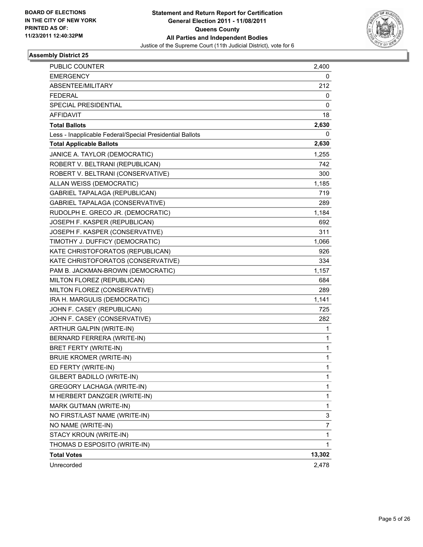

| PUBLIC COUNTER                                           | 2,400       |
|----------------------------------------------------------|-------------|
| EMERGENCY                                                | 0           |
| ABSENTEE/MILITARY                                        | 212         |
| <b>FEDERAL</b>                                           | 0           |
| SPECIAL PRESIDENTIAL                                     | 0           |
| <b>AFFIDAVIT</b>                                         | 18          |
| <b>Total Ballots</b>                                     | 2,630       |
| Less - Inapplicable Federal/Special Presidential Ballots | 0           |
| <b>Total Applicable Ballots</b>                          | 2,630       |
| JANICE A. TAYLOR (DEMOCRATIC)                            | 1,255       |
| ROBERT V. BELTRANI (REPUBLICAN)                          | 742         |
| ROBERT V. BELTRANI (CONSERVATIVE)                        | 300         |
| ALLAN WEISS (DEMOCRATIC)                                 | 1,185       |
| <b>GABRIEL TAPALAGA (REPUBLICAN)</b>                     | 719         |
| GABRIEL TAPALAGA (CONSERVATIVE)                          | 289         |
| RUDOLPH E. GRECO JR. (DEMOCRATIC)                        | 1,184       |
| JOSEPH F. KASPER (REPUBLICAN)                            | 692         |
| JOSEPH F. KASPER (CONSERVATIVE)                          | 311         |
| TIMOTHY J. DUFFICY (DEMOCRATIC)                          | 1,066       |
| KATE CHRISTOFORATOS (REPUBLICAN)                         | 926         |
| KATE CHRISTOFORATOS (CONSERVATIVE)                       | 334         |
| PAM B. JACKMAN-BROWN (DEMOCRATIC)                        | 1,157       |
| MILTON FLOREZ (REPUBLICAN)                               | 684         |
| MILTON FLOREZ (CONSERVATIVE)                             | 289         |
| IRA H. MARGULIS (DEMOCRATIC)                             | 1,141       |
| JOHN F. CASEY (REPUBLICAN)                               | 725         |
| JOHN F. CASEY (CONSERVATIVE)                             | 282         |
| ARTHUR GALPIN (WRITE-IN)                                 | 1           |
| BERNARD FERRERA (WRITE-IN)                               | 1           |
| BRET FERTY (WRITE-IN)                                    | 1           |
| <b>BRUIE KROMER (WRITE-IN)</b>                           | 1           |
| ED FERTY (WRITE-IN)                                      | 1           |
| GILBERT BADILLO (WRITE-IN)                               | 1           |
| <b>GREGORY LACHAGA (WRITE-IN)</b>                        | 1           |
| M HERBERT DANZGER (WRITE-IN)                             | 1           |
| MARK GUTMAN (WRITE-IN)                                   | 1           |
| NO FIRST/LAST NAME (WRITE-IN)                            | 3           |
| NO NAME (WRITE-IN)                                       | 7           |
| STACY KROUN (WRITE-IN)                                   | 1           |
| THOMAS D ESPOSITO (WRITE-IN)                             | $\mathbf 1$ |
| <b>Total Votes</b>                                       | 13,302      |
| Unrecorded                                               | 2,478       |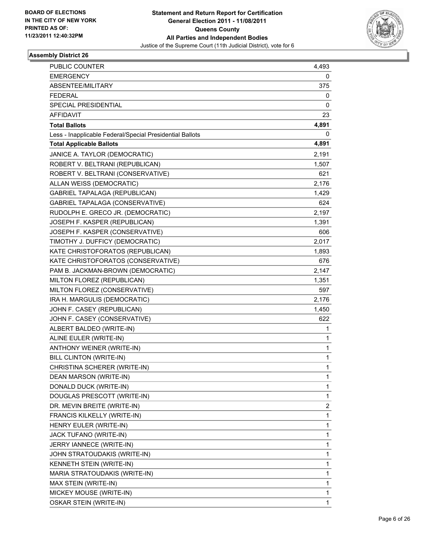

| PUBLIC COUNTER                                           | 4,493 |
|----------------------------------------------------------|-------|
| <b>EMERGENCY</b>                                         | 0     |
| ABSENTEE/MILITARY                                        | 375   |
| <b>FEDERAL</b>                                           | 0     |
| SPECIAL PRESIDENTIAL                                     | 0     |
| AFFIDAVIT                                                | 23    |
| <b>Total Ballots</b>                                     | 4,891 |
| Less - Inapplicable Federal/Special Presidential Ballots | 0     |
| <b>Total Applicable Ballots</b>                          | 4,891 |
| JANICE A. TAYLOR (DEMOCRATIC)                            | 2,191 |
| ROBERT V. BELTRANI (REPUBLICAN)                          | 1,507 |
| ROBERT V. BELTRANI (CONSERVATIVE)                        | 621   |
| ALLAN WEISS (DEMOCRATIC)                                 | 2,176 |
| GABRIEL TAPALAGA (REPUBLICAN)                            | 1,429 |
| GABRIEL TAPALAGA (CONSERVATIVE)                          | 624   |
| RUDOLPH E. GRECO JR. (DEMOCRATIC)                        | 2,197 |
| JOSEPH F. KASPER (REPUBLICAN)                            | 1,391 |
| JOSEPH F. KASPER (CONSERVATIVE)                          | 606   |
| TIMOTHY J. DUFFICY (DEMOCRATIC)                          | 2,017 |
| KATE CHRISTOFORATOS (REPUBLICAN)                         | 1,893 |
| KATE CHRISTOFORATOS (CONSERVATIVE)                       | 676   |
| PAM B. JACKMAN-BROWN (DEMOCRATIC)                        | 2,147 |
| MILTON FLOREZ (REPUBLICAN)                               | 1,351 |
| MILTON FLOREZ (CONSERVATIVE)                             | 597   |
| IRA H. MARGULIS (DEMOCRATIC)                             | 2,176 |
| JOHN F. CASEY (REPUBLICAN)                               | 1,450 |
| JOHN F. CASEY (CONSERVATIVE)                             | 622   |
| ALBERT BALDEO (WRITE-IN)                                 | 1     |
| ALINE EULER (WRITE-IN)                                   | 1     |
| ANTHONY WEINER (WRITE-IN)                                | 1     |
| BILL CLINTON (WRITE-IN)                                  | 1     |
| CHRISTINA SCHERER (WRITE-IN)                             | 1     |
| DEAN MARSON (WRITE-IN)                                   | 1     |
| DONALD DUCK (WRITE-IN)                                   | 1     |
| DOUGLAS PRESCOTT (WRITE-IN)                              | 1     |
| DR. MEVIN BREITE (WRITE-IN)                              | 2     |
| FRANCIS KILKELLY (WRITE-IN)                              | 1     |
| HENRY EULER (WRITE-IN)                                   | 1     |
| JACK TUFANO (WRITE-IN)                                   | 1     |
| JERRY IANNECE (WRITE-IN)                                 | 1     |
| JOHN STRATOUDAKIS (WRITE-IN)                             | 1     |
| KENNETH STEIN (WRITE-IN)                                 | 1     |
| MARIA STRATOUDAKIS (WRITE-IN)                            | 1     |
| MAX STEIN (WRITE-IN)                                     | 1     |
| MICKEY MOUSE (WRITE-IN)                                  | 1     |
| OSKAR STEIN (WRITE-IN)                                   | 1     |
|                                                          |       |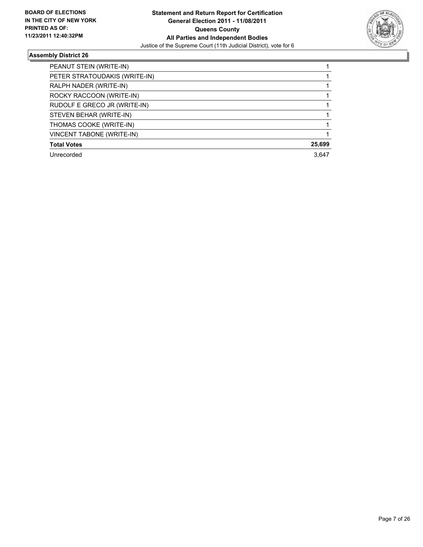

| PEANUT STEIN (WRITE-IN)       |        |
|-------------------------------|--------|
| PETER STRATOUDAKIS (WRITE-IN) |        |
| RALPH NADER (WRITE-IN)        |        |
| ROCKY RACCOON (WRITE-IN)      |        |
| RUDOLF E GRECO JR (WRITE-IN)  |        |
| STEVEN BEHAR (WRITE-IN)       |        |
| THOMAS COOKE (WRITE-IN)       |        |
| VINCENT TABONE (WRITE-IN)     |        |
| <b>Total Votes</b>            | 25,699 |
| Unrecorded                    | 3.647  |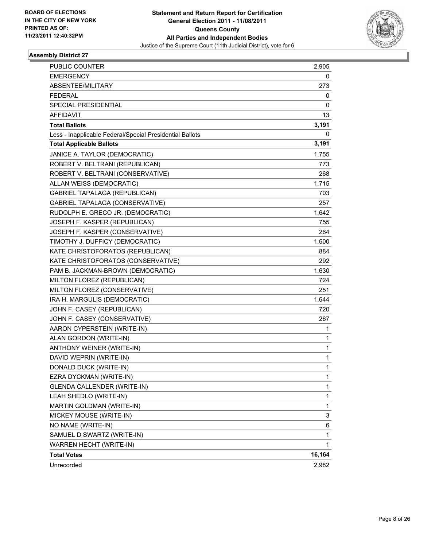

| PUBLIC COUNTER                                           | 2,905       |
|----------------------------------------------------------|-------------|
| <b>EMERGENCY</b>                                         | 0           |
| ABSENTEE/MILITARY                                        | 273         |
| <b>FEDERAL</b>                                           | 0           |
| SPECIAL PRESIDENTIAL                                     | 0           |
| AFFIDAVIT                                                | 13          |
| <b>Total Ballots</b>                                     | 3,191       |
| Less - Inapplicable Federal/Special Presidential Ballots | 0           |
| <b>Total Applicable Ballots</b>                          | 3,191       |
| JANICE A. TAYLOR (DEMOCRATIC)                            | 1,755       |
| ROBERT V. BELTRANI (REPUBLICAN)                          | 773         |
| ROBERT V. BELTRANI (CONSERVATIVE)                        | 268         |
| ALLAN WEISS (DEMOCRATIC)                                 | 1,715       |
| GABRIEL TAPALAGA (REPUBLICAN)                            | 703         |
| GABRIEL TAPALAGA (CONSERVATIVE)                          | 257         |
| RUDOLPH E. GRECO JR. (DEMOCRATIC)                        | 1,642       |
| JOSEPH F. KASPER (REPUBLICAN)                            | 755         |
| JOSEPH F. KASPER (CONSERVATIVE)                          | 264         |
| TIMOTHY J. DUFFICY (DEMOCRATIC)                          | 1,600       |
| KATE CHRISTOFORATOS (REPUBLICAN)                         | 884         |
| KATE CHRISTOFORATOS (CONSERVATIVE)                       | 292         |
| PAM B. JACKMAN-BROWN (DEMOCRATIC)                        | 1,630       |
| MILTON FLOREZ (REPUBLICAN)                               | 724         |
| MILTON FLOREZ (CONSERVATIVE)                             | 251         |
| IRA H. MARGULIS (DEMOCRATIC)                             | 1,644       |
| JOHN F. CASEY (REPUBLICAN)                               | 720         |
| JOHN F. CASEY (CONSERVATIVE)                             | 267         |
| AARON CYPERSTEIN (WRITE-IN)                              | 1           |
| ALAN GORDON (WRITE-IN)                                   | 1           |
| ANTHONY WEINER (WRITE-IN)                                | 1           |
| DAVID WEPRIN (WRITE-IN)                                  | 1           |
| DONALD DUCK (WRITE-IN)                                   | 1           |
| EZRA DYCKMAN (WRITE-IN)                                  | 1           |
| <b>GLENDA CALLENDER (WRITE-IN)</b>                       | 1           |
| LEAH SHEDLO (WRITE-IN)                                   | 1           |
| MARTIN GOLDMAN (WRITE-IN)                                | 1           |
| MICKEY MOUSE (WRITE-IN)                                  | 3           |
| NO NAME (WRITE-IN)                                       | 6           |
| SAMUEL D SWARTZ (WRITE-IN)                               | 1           |
| WARREN HECHT (WRITE-IN)                                  | $\mathbf 1$ |
| <b>Total Votes</b>                                       | 16,164      |
| Unrecorded                                               | 2,982       |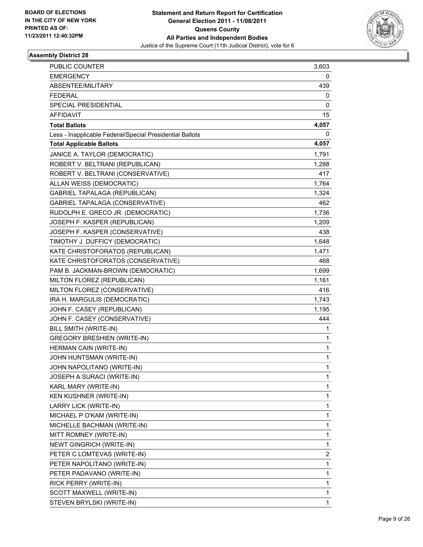

| PUBLIC COUNTER                                           | 3,603 |
|----------------------------------------------------------|-------|
| <b>EMERGENCY</b>                                         | 0     |
| ABSENTEE/MILITARY                                        | 439   |
| <b>FEDERAL</b>                                           | 0     |
| SPECIAL PRESIDENTIAL                                     | 0     |
| AFFIDAVIT                                                | 15    |
| <b>Total Ballots</b>                                     | 4,057 |
| Less - Inapplicable Federal/Special Presidential Ballots | 0     |
| <b>Total Applicable Ballots</b>                          | 4,057 |
| JANICE A. TAYLOR (DEMOCRATIC)                            | 1,791 |
| ROBERT V. BELTRANI (REPUBLICAN)                          | 1,288 |
| ROBERT V. BELTRANI (CONSERVATIVE)                        | 417   |
| ALLAN WEISS (DEMOCRATIC)                                 | 1,764 |
| GABRIEL TAPALAGA (REPUBLICAN)                            | 1,324 |
| GABRIEL TAPALAGA (CONSERVATIVE)                          | 462   |
| RUDOLPH E. GRECO JR. (DEMOCRATIC)                        | 1,736 |
| JOSEPH F. KASPER (REPUBLICAN)                            | 1,209 |
| JOSEPH F. KASPER (CONSERVATIVE)                          | 438   |
| TIMOTHY J. DUFFICY (DEMOCRATIC)                          | 1,648 |
| KATE CHRISTOFORATOS (REPUBLICAN)                         | 1,471 |
| KATE CHRISTOFORATOS (CONSERVATIVE)                       | 468   |
| PAM B. JACKMAN-BROWN (DEMOCRATIC)                        | 1,699 |
| MILTON FLOREZ (REPUBLICAN)                               | 1,161 |
| MILTON FLOREZ (CONSERVATIVE)                             | 416   |
| IRA H. MARGULIS (DEMOCRATIC)                             | 1,743 |
| JOHN F. CASEY (REPUBLICAN)                               | 1,195 |
| JOHN F. CASEY (CONSERVATIVE)                             | 444   |
| BILL SMITH (WRITE-IN)                                    | 1     |
| <b>GREGORY BRESHIEN (WRITE-IN)</b>                       | 1     |
| HERMAN CAIN (WRITE-IN)                                   | 1     |
| JOHN HUNTSMAN (WRITE-IN)                                 | 1     |
| JOHN NAPOLITANO (WRITE-IN)                               | 1     |
| JOSEPH A SURACI (WRITE-IN)                               | 1     |
| KARL MARY (WRITE-IN)                                     | 1     |
| KEN KUSHNER (WRITE-IN)                                   | 1     |
| LARRY LICK (WRITE-IN)                                    | 1     |
| MICHAEL P O'KAM (WRITE-IN)                               | 1     |
| MICHELLE BACHMAN (WRITE-IN)                              | 1     |
| MITT ROMNEY (WRITE-IN)                                   | 1     |
| NEWT GINGRICH (WRITE-IN)                                 | 1     |
| PETER C LOMTEVAS (WRITE-IN)                              | 2     |
| PETER NAPOLITANO (WRITE-IN)                              | 1     |
| PETER PADAVANO (WRITE-IN)                                | 1     |
|                                                          |       |
| RICK PERRY (WRITE-IN)                                    | 1     |
| SCOTT MAXWELL (WRITE-IN)                                 | 1     |
| STEVEN BRYLSKI (WRITE-IN)                                | 1     |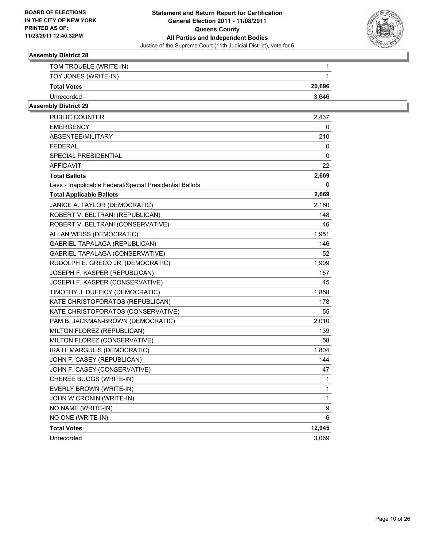

| TOM TROUBLE (WRITE-IN)<br>TOY JONES (WRITE-IN)<br><b>Total Votes</b> | Unrecorded | 3.646  |
|----------------------------------------------------------------------|------------|--------|
|                                                                      |            | 20,696 |
|                                                                      |            |        |
|                                                                      |            |        |

| PUBLIC COUNTER                                           | 2,437  |
|----------------------------------------------------------|--------|
| EMERGENCY                                                | 0      |
| <b>ABSENTEE/MILITARY</b>                                 | 210    |
| FEDERAL                                                  | 0      |
| SPECIAL PRESIDENTIAL                                     | 0      |
| <b>AFFIDAVIT</b>                                         | 22     |
| <b>Total Ballots</b>                                     | 2,669  |
| Less - Inapplicable Federal/Special Presidential Ballots | 0      |
| <b>Total Applicable Ballots</b>                          | 2,669  |
| JANICE A. TAYLOR (DEMOCRATIC)                            | 2,180  |
| ROBERT V. BELTRANI (REPUBLICAN)                          | 148    |
| ROBERT V. BELTRANI (CONSERVATIVE)                        | 46     |
| ALLAN WEISS (DEMOCRATIC)                                 | 1,951  |
| GABRIEL TAPALAGA (REPUBLICAN)                            | 146    |
| GABRIEL TAPALAGA (CONSERVATIVE)                          | 52     |
| RUDOLPH E. GRECO JR. (DEMOCRATIC)                        | 1,909  |
| JOSEPH F. KASPER (REPUBLICAN)                            | 157    |
| JOSEPH F. KASPER (CONSERVATIVE)                          | 45     |
| TIMOTHY J. DUFFICY (DEMOCRATIC)                          | 1,858  |
| KATE CHRISTOFORATOS (REPUBLICAN)                         | 178    |
| KATE CHRISTOFORATOS (CONSERVATIVE)                       | 55     |
| PAM B. JACKMAN-BROWN (DEMOCRATIC)                        | 2,010  |
| MILTON FLOREZ (REPUBLICAN)                               | 139    |
| MILTON FLOREZ (CONSERVATIVE)                             | 58     |
| IRA H. MARGULIS (DEMOCRATIC)                             | 1,804  |
| JOHN F. CASEY (REPUBLICAN)                               | 144    |
| JOHN F. CASEY (CONSERVATIVE)                             | 47     |
| CHEREE BUGGS (WRITE-IN)                                  | 1      |
| EVERLY BROWN (WRITE-IN)                                  | 1      |
| JOHN W CRONIN (WRITE-IN)                                 | 1      |
| NO NAME (WRITE-IN)                                       | 9      |
| NO ONE (WRITE-IN)                                        | 6      |
| <b>Total Votes</b>                                       | 12,945 |
| Unrecorded                                               | 3,069  |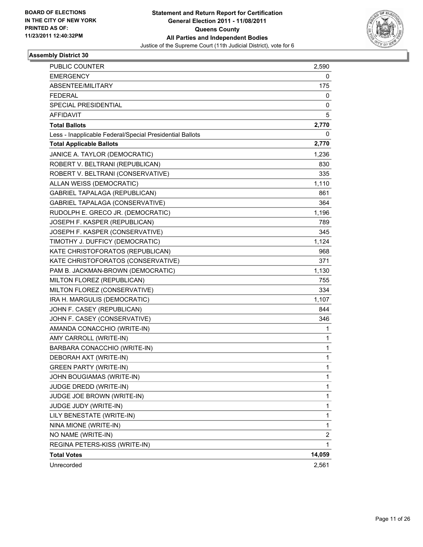

| <b>PUBLIC COUNTER</b>                                    | 2,590       |
|----------------------------------------------------------|-------------|
| EMERGENCY                                                | 0           |
| ABSENTEE/MILITARY                                        | 175         |
| <b>FEDERAL</b>                                           | 0           |
| SPECIAL PRESIDENTIAL                                     | 0           |
| <b>AFFIDAVIT</b>                                         | 5           |
| <b>Total Ballots</b>                                     | 2,770       |
| Less - Inapplicable Federal/Special Presidential Ballots | 0           |
| <b>Total Applicable Ballots</b>                          | 2,770       |
| JANICE A. TAYLOR (DEMOCRATIC)                            | 1,236       |
| ROBERT V. BELTRANI (REPUBLICAN)                          | 830         |
| ROBERT V. BELTRANI (CONSERVATIVE)                        | 335         |
| ALLAN WEISS (DEMOCRATIC)                                 | 1,110       |
| <b>GABRIEL TAPALAGA (REPUBLICAN)</b>                     | 861         |
| GABRIEL TAPALAGA (CONSERVATIVE)                          | 364         |
| RUDOLPH E. GRECO JR. (DEMOCRATIC)                        | 1,196       |
| JOSEPH F. KASPER (REPUBLICAN)                            | 789         |
| JOSEPH F. KASPER (CONSERVATIVE)                          | 345         |
| TIMOTHY J. DUFFICY (DEMOCRATIC)                          | 1,124       |
| KATE CHRISTOFORATOS (REPUBLICAN)                         | 968         |
| KATE CHRISTOFORATOS (CONSERVATIVE)                       | 371         |
| PAM B. JACKMAN-BROWN (DEMOCRATIC)                        | 1,130       |
| MILTON FLOREZ (REPUBLICAN)                               | 755         |
| MILTON FLOREZ (CONSERVATIVE)                             | 334         |
| IRA H. MARGULIS (DEMOCRATIC)                             | 1,107       |
| JOHN F. CASEY (REPUBLICAN)                               | 844         |
| JOHN F. CASEY (CONSERVATIVE)                             | 346         |
| AMANDA CONACCHIO (WRITE-IN)                              | 1           |
| AMY CARROLL (WRITE-IN)                                   | 1           |
| BARBARA CONACCHIO (WRITE-IN)                             | 1           |
| DEBORAH AXT (WRITE-IN)                                   | $\mathbf 1$ |
| <b>GREEN PARTY (WRITE-IN)</b>                            | 1           |
| JOHN BOUGIAMAS (WRITE-IN)                                | 1           |
| JUDGE DREDD (WRITE-IN)                                   | 1           |
| JUDGE JOE BROWN (WRITE-IN)                               | 1           |
| JUDGE JUDY (WRITE-IN)                                    | 1           |
| LILY BENESTATE (WRITE-IN)                                | $\mathbf 1$ |
| NINA MIONE (WRITE-IN)                                    | 1           |
| NO NAME (WRITE-IN)                                       | 2           |
| REGINA PETERS-KISS (WRITE-IN)                            | 1           |
| <b>Total Votes</b>                                       | 14,059      |
| Unrecorded                                               | 2,561       |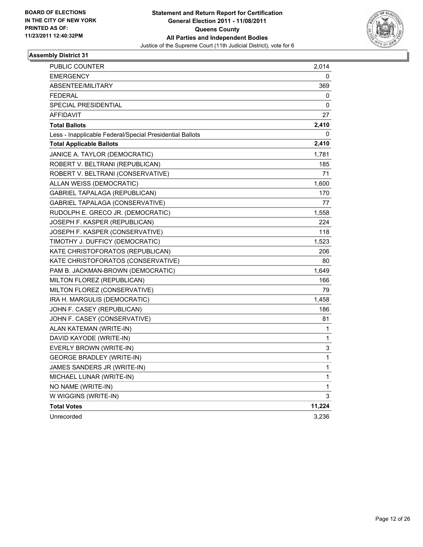

| PUBLIC COUNTER                                           | 2,014  |
|----------------------------------------------------------|--------|
| <b>EMERGENCY</b>                                         | 0      |
| <b>ABSENTEE/MILITARY</b>                                 | 369    |
| <b>FEDERAL</b>                                           | 0      |
| SPECIAL PRESIDENTIAL                                     | 0      |
| AFFIDAVIT                                                | 27     |
| <b>Total Ballots</b>                                     | 2,410  |
| Less - Inapplicable Federal/Special Presidential Ballots | 0      |
| <b>Total Applicable Ballots</b>                          | 2,410  |
| JANICE A. TAYLOR (DEMOCRATIC)                            | 1,781  |
| ROBERT V. BELTRANI (REPUBLICAN)                          | 185    |
| ROBERT V. BELTRANI (CONSERVATIVE)                        | 71     |
| ALLAN WEISS (DEMOCRATIC)                                 | 1,600  |
| <b>GABRIEL TAPALAGA (REPUBLICAN)</b>                     | 170    |
| GABRIEL TAPALAGA (CONSERVATIVE)                          | 77     |
| RUDOLPH E. GRECO JR. (DEMOCRATIC)                        | 1,558  |
| JOSEPH F. KASPER (REPUBLICAN)                            | 224    |
| JOSEPH F. KASPER (CONSERVATIVE)                          | 118    |
| TIMOTHY J. DUFFICY (DEMOCRATIC)                          | 1,523  |
| KATE CHRISTOFORATOS (REPUBLICAN)                         | 206    |
| KATE CHRISTOFORATOS (CONSERVATIVE)                       | 80     |
| PAM B. JACKMAN-BROWN (DEMOCRATIC)                        | 1,649  |
| MILTON FLOREZ (REPUBLICAN)                               | 166    |
| MILTON FLOREZ (CONSERVATIVE)                             | 79     |
| IRA H. MARGULIS (DEMOCRATIC)                             | 1,458  |
| JOHN F. CASEY (REPUBLICAN)                               | 186    |
| JOHN F. CASEY (CONSERVATIVE)                             | 81     |
| ALAN KATEMAN (WRITE-IN)                                  | 1      |
| DAVID KAYODE (WRITE-IN)                                  | 1      |
| EVERLY BROWN (WRITE-IN)                                  | 3      |
| <b>GEORGE BRADLEY (WRITE-IN)</b>                         | 1      |
| JAMES SANDERS JR (WRITE-IN)                              | 1      |
| MICHAEL LUNAR (WRITE-IN)                                 | 1      |
| NO NAME (WRITE-IN)                                       | 1      |
| W WIGGINS (WRITE-IN)                                     | 3      |
| <b>Total Votes</b>                                       | 11,224 |
| Unrecorded                                               | 3,236  |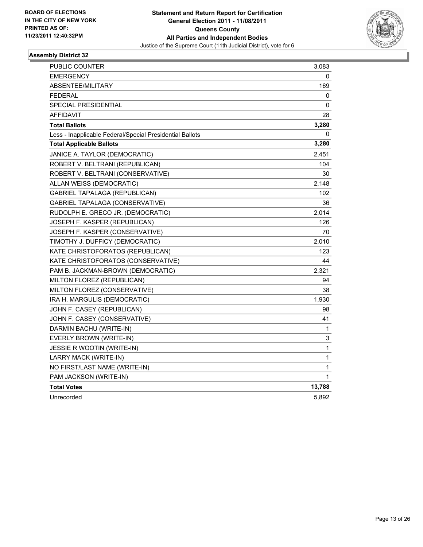

| PUBLIC COUNTER                                           | 3,083       |
|----------------------------------------------------------|-------------|
| <b>EMERGENCY</b>                                         | 0           |
| <b>ABSENTEE/MILITARY</b>                                 | 169         |
| <b>FEDERAL</b>                                           | 0           |
| <b>SPECIAL PRESIDENTIAL</b>                              | 0           |
| AFFIDAVIT                                                | 28          |
| <b>Total Ballots</b>                                     | 3,280       |
| Less - Inapplicable Federal/Special Presidential Ballots | 0           |
| <b>Total Applicable Ballots</b>                          | 3,280       |
| JANICE A. TAYLOR (DEMOCRATIC)                            | 2,451       |
| ROBERT V. BELTRANI (REPUBLICAN)                          | 104         |
| ROBERT V. BELTRANI (CONSERVATIVE)                        | 30          |
| ALLAN WEISS (DEMOCRATIC)                                 | 2,148       |
| <b>GABRIEL TAPALAGA (REPUBLICAN)</b>                     | 102         |
| GABRIEL TAPALAGA (CONSERVATIVE)                          | 36          |
| RUDOLPH E. GRECO JR. (DEMOCRATIC)                        | 2,014       |
| JOSEPH F. KASPER (REPUBLICAN)                            | 126         |
| JOSEPH F. KASPER (CONSERVATIVE)                          | 70          |
| TIMOTHY J. DUFFICY (DEMOCRATIC)                          | 2,010       |
| KATE CHRISTOFORATOS (REPUBLICAN)                         | 123         |
| KATE CHRISTOFORATOS (CONSERVATIVE)                       | 44          |
| PAM B. JACKMAN-BROWN (DEMOCRATIC)                        | 2,321       |
| MILTON FLOREZ (REPUBLICAN)                               | 94          |
| MILTON FLOREZ (CONSERVATIVE)                             | 38          |
| IRA H. MARGULIS (DEMOCRATIC)                             | 1,930       |
| JOHN F. CASEY (REPUBLICAN)                               | 98          |
| JOHN F. CASEY (CONSERVATIVE)                             | 41          |
| DARMIN BACHU (WRITE-IN)                                  | 1           |
| EVERLY BROWN (WRITE-IN)                                  | 3           |
| JESSIE R WOOTIN (WRITE-IN)                               | $\mathbf 1$ |
| LARRY MACK (WRITE-IN)                                    | $\mathbf 1$ |
| NO FIRST/LAST NAME (WRITE-IN)                            | 1           |
| PAM JACKSON (WRITE-IN)                                   | 1           |
| <b>Total Votes</b>                                       | 13,788      |
| Unrecorded                                               | 5,892       |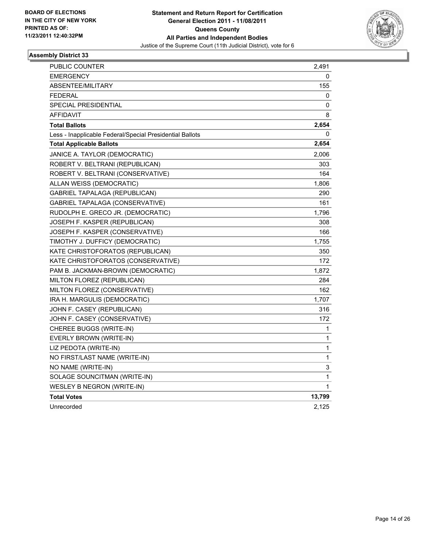

| <b>PUBLIC COUNTER</b>                                    | 2,491       |
|----------------------------------------------------------|-------------|
| <b>EMERGENCY</b>                                         | 0           |
| <b>ABSENTEE/MILITARY</b>                                 | 155         |
| <b>FEDERAL</b>                                           | 0           |
| <b>SPECIAL PRESIDENTIAL</b>                              | 0           |
| AFFIDAVIT                                                | 8           |
| <b>Total Ballots</b>                                     | 2,654       |
| Less - Inapplicable Federal/Special Presidential Ballots | 0           |
| <b>Total Applicable Ballots</b>                          | 2,654       |
| JANICE A. TAYLOR (DEMOCRATIC)                            | 2,006       |
| ROBERT V. BELTRANI (REPUBLICAN)                          | 303         |
| ROBERT V. BELTRANI (CONSERVATIVE)                        | 164         |
| ALLAN WEISS (DEMOCRATIC)                                 | 1,806       |
| GABRIEL TAPALAGA (REPUBLICAN)                            | 290         |
| GABRIEL TAPALAGA (CONSERVATIVE)                          | 161         |
| RUDOLPH E. GRECO JR. (DEMOCRATIC)                        | 1,796       |
| JOSEPH F. KASPER (REPUBLICAN)                            | 308         |
| JOSEPH F. KASPER (CONSERVATIVE)                          | 166         |
| TIMOTHY J. DUFFICY (DEMOCRATIC)                          | 1,755       |
| KATE CHRISTOFORATOS (REPUBLICAN)                         | 350         |
| KATE CHRISTOFORATOS (CONSERVATIVE)                       | 172         |
| PAM B. JACKMAN-BROWN (DEMOCRATIC)                        | 1,872       |
| MILTON FLOREZ (REPUBLICAN)                               | 284         |
| MILTON FLOREZ (CONSERVATIVE)                             | 162         |
| IRA H. MARGULIS (DEMOCRATIC)                             | 1,707       |
| JOHN F. CASEY (REPUBLICAN)                               | 316         |
| JOHN F. CASEY (CONSERVATIVE)                             | 172         |
| CHEREE BUGGS (WRITE-IN)                                  | 1           |
| EVERLY BROWN (WRITE-IN)                                  | 1           |
| LIZ PEDOTA (WRITE-IN)                                    | 1           |
| NO FIRST/LAST NAME (WRITE-IN)                            | $\mathbf 1$ |
| NO NAME (WRITE-IN)                                       | 3           |
| SOLAGE SOUNCITMAN (WRITE-IN)                             | 1           |
| WESLEY B NEGRON (WRITE-IN)                               | 1           |
| <b>Total Votes</b>                                       | 13,799      |
| Unrecorded                                               | 2,125       |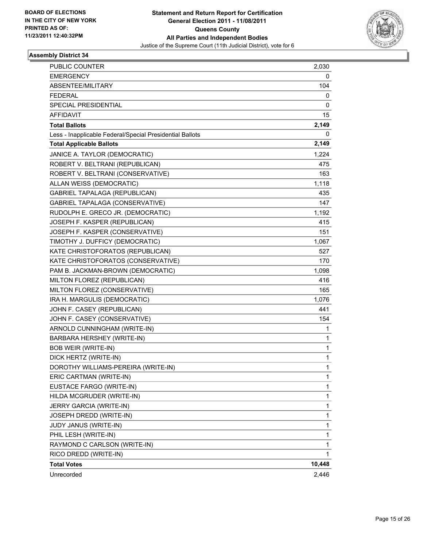

| <b>PUBLIC COUNTER</b>                                    | 2,030        |
|----------------------------------------------------------|--------------|
| <b>EMERGENCY</b>                                         | 0            |
| ABSENTEE/MILITARY                                        | 104          |
| <b>FEDERAL</b>                                           | 0            |
| SPECIAL PRESIDENTIAL                                     | 0            |
| AFFIDAVIT                                                | 15           |
| <b>Total Ballots</b>                                     | 2,149        |
| Less - Inapplicable Federal/Special Presidential Ballots | 0            |
| <b>Total Applicable Ballots</b>                          | 2,149        |
| JANICE A. TAYLOR (DEMOCRATIC)                            | 1,224        |
| ROBERT V. BELTRANI (REPUBLICAN)                          | 475          |
| ROBERT V. BELTRANI (CONSERVATIVE)                        | 163          |
| ALLAN WEISS (DEMOCRATIC)                                 | 1,118        |
| GABRIEL TAPALAGA (REPUBLICAN)                            | 435          |
| GABRIEL TAPALAGA (CONSERVATIVE)                          | 147          |
| RUDOLPH E. GRECO JR. (DEMOCRATIC)                        | 1,192        |
| JOSEPH F. KASPER (REPUBLICAN)                            | 415          |
| JOSEPH F. KASPER (CONSERVATIVE)                          | 151          |
| TIMOTHY J. DUFFICY (DEMOCRATIC)                          | 1,067        |
| KATE CHRISTOFORATOS (REPUBLICAN)                         | 527          |
| KATE CHRISTOFORATOS (CONSERVATIVE)                       | 170          |
| PAM B. JACKMAN-BROWN (DEMOCRATIC)                        | 1,098        |
| MILTON FLOREZ (REPUBLICAN)                               | 416          |
| MILTON FLOREZ (CONSERVATIVE)                             | 165          |
| IRA H. MARGULIS (DEMOCRATIC)                             | 1,076        |
| JOHN F. CASEY (REPUBLICAN)                               | 441          |
| JOHN F. CASEY (CONSERVATIVE)                             | 154          |
| ARNOLD CUNNINGHAM (WRITE-IN)                             | 1            |
| <b>BARBARA HERSHEY (WRITE-IN)</b>                        | 1            |
| <b>BOB WEIR (WRITE-IN)</b>                               | 1            |
| DICK HERTZ (WRITE-IN)                                    | 1            |
| DOROTHY WILLIAMS-PEREIRA (WRITE-IN)                      | $\mathbf{1}$ |
| ERIC CARTMAN (WRITE-IN)                                  | 1            |
| EUSTACE FARGO (WRITE-IN)                                 | 1            |
| HILDA MCGRUDER (WRITE-IN)                                | 1            |
| JERRY GARCIA (WRITE-IN)                                  | 1            |
| JOSEPH DREDD (WRITE-IN)                                  | 1            |
| JUDY JANUS (WRITE-IN)                                    | 1            |
| PHIL LESH (WRITE-IN)                                     | 1            |
| RAYMOND C CARLSON (WRITE-IN)                             | 1            |
| RICO DREDD (WRITE-IN)                                    | 1            |
| <b>Total Votes</b>                                       | 10,448       |
| Unrecorded                                               | 2,446        |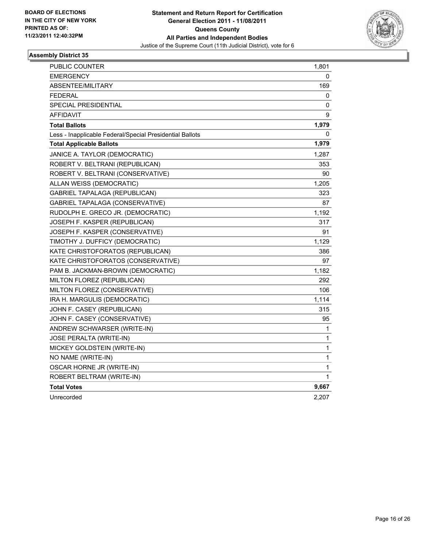

| <b>PUBLIC COUNTER</b>                                    | 1,801       |
|----------------------------------------------------------|-------------|
| <b>EMERGENCY</b>                                         | 0           |
| <b>ABSENTEE/MILITARY</b>                                 | 169         |
| <b>FEDERAL</b>                                           | 0           |
| SPECIAL PRESIDENTIAL                                     | 0           |
| AFFIDAVIT                                                | 9           |
| <b>Total Ballots</b>                                     | 1,979       |
| Less - Inapplicable Federal/Special Presidential Ballots | 0           |
| <b>Total Applicable Ballots</b>                          | 1,979       |
| JANICE A. TAYLOR (DEMOCRATIC)                            | 1,287       |
| ROBERT V. BELTRANI (REPUBLICAN)                          | 353         |
| ROBERT V. BELTRANI (CONSERVATIVE)                        | 90          |
| ALLAN WEISS (DEMOCRATIC)                                 | 1,205       |
| <b>GABRIEL TAPALAGA (REPUBLICAN)</b>                     | 323         |
| GABRIEL TAPALAGA (CONSERVATIVE)                          | 87          |
| RUDOLPH E. GRECO JR. (DEMOCRATIC)                        | 1,192       |
| JOSEPH F. KASPER (REPUBLICAN)                            | 317         |
| JOSEPH F. KASPER (CONSERVATIVE)                          | 91          |
| TIMOTHY J. DUFFICY (DEMOCRATIC)                          | 1,129       |
| KATE CHRISTOFORATOS (REPUBLICAN)                         | 386         |
| KATE CHRISTOFORATOS (CONSERVATIVE)                       | 97          |
| PAM B. JACKMAN-BROWN (DEMOCRATIC)                        | 1,182       |
| MILTON FLOREZ (REPUBLICAN)                               | 292         |
| MILTON FLOREZ (CONSERVATIVE)                             | 106         |
| IRA H. MARGULIS (DEMOCRATIC)                             | 1,114       |
| JOHN F. CASEY (REPUBLICAN)                               | 315         |
| JOHN F. CASEY (CONSERVATIVE)                             | 95          |
| ANDREW SCHWARSER (WRITE-IN)                              | 1           |
| JOSE PERALTA (WRITE-IN)                                  | 1           |
| MICKEY GOLDSTEIN (WRITE-IN)                              | 1           |
| NO NAME (WRITE-IN)                                       | $\mathbf 1$ |
| OSCAR HORNE JR (WRITE-IN)                                | 1           |
| ROBERT BELTRAM (WRITE-IN)                                | 1           |
| <b>Total Votes</b>                                       | 9,667       |
| Unrecorded                                               | 2,207       |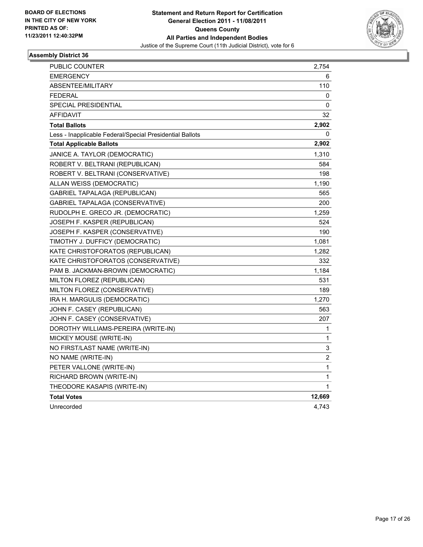

| <b>PUBLIC COUNTER</b>                                    | 2,754          |
|----------------------------------------------------------|----------------|
| <b>EMERGENCY</b>                                         | 6              |
| <b>ABSENTEE/MILITARY</b>                                 | 110            |
| <b>FEDERAL</b>                                           | 0              |
| <b>SPECIAL PRESIDENTIAL</b>                              | 0              |
| <b>AFFIDAVIT</b>                                         | 32             |
| <b>Total Ballots</b>                                     | 2,902          |
| Less - Inapplicable Federal/Special Presidential Ballots | 0              |
| <b>Total Applicable Ballots</b>                          | 2,902          |
| JANICE A. TAYLOR (DEMOCRATIC)                            | 1,310          |
| ROBERT V. BELTRANI (REPUBLICAN)                          | 584            |
| ROBERT V. BELTRANI (CONSERVATIVE)                        | 198            |
| ALLAN WEISS (DEMOCRATIC)                                 | 1,190          |
| GABRIEL TAPALAGA (REPUBLICAN)                            | 565            |
| GABRIEL TAPALAGA (CONSERVATIVE)                          | 200            |
| RUDOLPH E. GRECO JR. (DEMOCRATIC)                        | 1,259          |
| JOSEPH F. KASPER (REPUBLICAN)                            | 524            |
| JOSEPH F. KASPER (CONSERVATIVE)                          | 190            |
| TIMOTHY J. DUFFICY (DEMOCRATIC)                          | 1,081          |
| KATE CHRISTOFORATOS (REPUBLICAN)                         | 1,282          |
| KATE CHRISTOFORATOS (CONSERVATIVE)                       | 332            |
| PAM B. JACKMAN-BROWN (DEMOCRATIC)                        | 1,184          |
| MILTON FLOREZ (REPUBLICAN)                               | 531            |
| MILTON FLOREZ (CONSERVATIVE)                             | 189            |
| IRA H. MARGULIS (DEMOCRATIC)                             | 1,270          |
| JOHN F. CASEY (REPUBLICAN)                               | 563            |
| JOHN F. CASEY (CONSERVATIVE)                             | 207            |
| DOROTHY WILLIAMS-PEREIRA (WRITE-IN)                      | 1              |
| MICKEY MOUSE (WRITE-IN)                                  | 1              |
| NO FIRST/LAST NAME (WRITE-IN)                            | 3              |
| NO NAME (WRITE-IN)                                       | $\overline{2}$ |
| PETER VALLONE (WRITE-IN)                                 | 1              |
| RICHARD BROWN (WRITE-IN)                                 | 1              |
| THEODORE KASAPIS (WRITE-IN)                              | 1              |
| <b>Total Votes</b>                                       | 12,669         |
| Unrecorded                                               | 4,743          |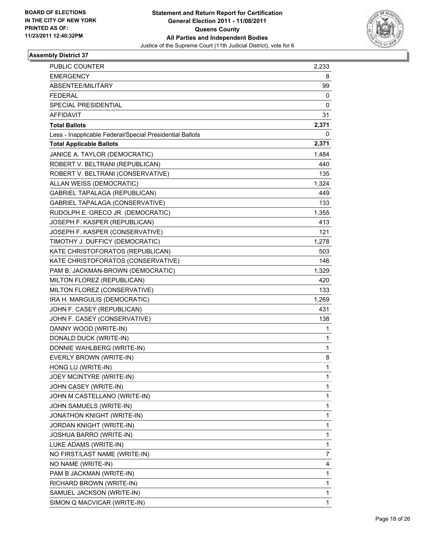

| <b>PUBLIC COUNTER</b>                                    | 2,233 |
|----------------------------------------------------------|-------|
| <b>EMERGENCY</b>                                         | 8     |
| ABSENTEE/MILITARY                                        | 99    |
| <b>FEDERAL</b>                                           | 0     |
| SPECIAL PRESIDENTIAL                                     | 0     |
| AFFIDAVIT                                                | 31    |
| <b>Total Ballots</b>                                     | 2,371 |
| Less - Inapplicable Federal/Special Presidential Ballots | 0     |
| <b>Total Applicable Ballots</b>                          | 2,371 |
| JANICE A. TAYLOR (DEMOCRATIC)                            | 1,484 |
| ROBERT V. BELTRANI (REPUBLICAN)                          | 440   |
| ROBERT V. BELTRANI (CONSERVATIVE)                        | 135   |
| ALLAN WEISS (DEMOCRATIC)                                 | 1,324 |
| <b>GABRIEL TAPALAGA (REPUBLICAN)</b>                     | 449   |
| GABRIEL TAPALAGA (CONSERVATIVE)                          | 133   |
| RUDOLPH E. GRECO JR. (DEMOCRATIC)                        | 1,355 |
| JOSEPH F. KASPER (REPUBLICAN)                            | 413   |
| JOSEPH F. KASPER (CONSERVATIVE)                          | 121   |
| TIMOTHY J. DUFFICY (DEMOCRATIC)                          | 1,278 |
| KATE CHRISTOFORATOS (REPUBLICAN)                         | 503   |
| KATE CHRISTOFORATOS (CONSERVATIVE)                       | 146   |
| PAM B. JACKMAN-BROWN (DEMOCRATIC)                        | 1,329 |
| MILTON FLOREZ (REPUBLICAN)                               | 420   |
| MILTON FLOREZ (CONSERVATIVE)                             | 133   |
| IRA H. MARGULIS (DEMOCRATIC)                             | 1,269 |
| JOHN F. CASEY (REPUBLICAN)                               | 431   |
| JOHN F. CASEY (CONSERVATIVE)                             | 138   |
| DANNY WOOD (WRITE-IN)                                    | 1     |
| DONALD DUCK (WRITE-IN)                                   | 1     |
| DONNIE WAHLBERG (WRITE-IN)                               | 1     |
| EVERLY BROWN (WRITE-IN)                                  | 8     |
| HONG LU (WRITE-IN)                                       | 1     |
| JOEY MCINTYRE (WRITE-IN)                                 | 1     |
| JOHN CASEY (WRITE-IN)                                    | 1     |
| JOHN M CASTELLANO (WRITE-IN)                             | 1     |
| JOHN SAMUELS (WRITE-IN)                                  | 1     |
| JONATHON KNIGHT (WRITE-IN)                               | 1     |
| JORDAN KNIGHT (WRITE-IN)                                 | 1     |
| JOSHUA BARRO (WRITE-IN)                                  | 1     |
| LUKE ADAMS (WRITE-IN)                                    | 1     |
| NO FIRST/LAST NAME (WRITE-IN)                            | 7     |
| NO NAME (WRITE-IN)                                       | 4     |
| PAM B JACKMAN (WRITE-IN)                                 | 1     |
| RICHARD BROWN (WRITE-IN)                                 | 1     |
| SAMUEL JACKSON (WRITE-IN)                                | 1     |
| SIMON Q MACVICAR (WRITE-IN)                              | 1     |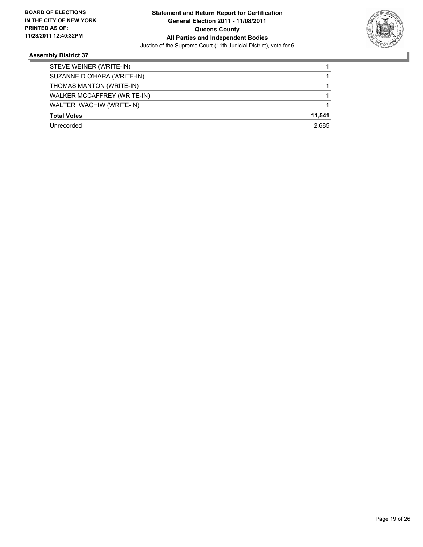

| STEVE WEINER (WRITE-IN)     |        |
|-----------------------------|--------|
| SUZANNE D O'HARA (WRITE-IN) |        |
| THOMAS MANTON (WRITE-IN)    |        |
| WALKER MCCAFFREY (WRITE-IN) |        |
| WALTER IWACHIW (WRITE-IN)   |        |
| <b>Total Votes</b>          | 11.541 |
| Unrecorded                  | 2.685  |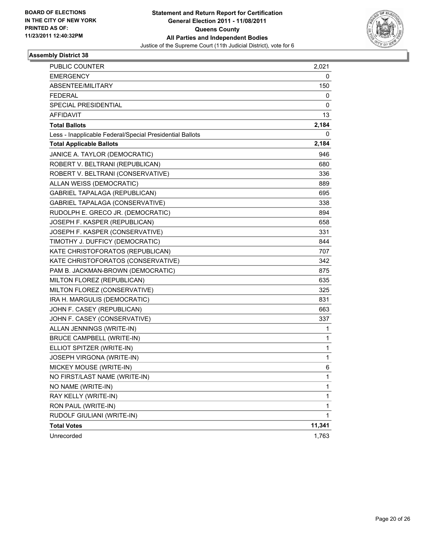

| <b>PUBLIC COUNTER</b>                                    | 2,021        |
|----------------------------------------------------------|--------------|
| <b>EMERGENCY</b>                                         | 0            |
| ABSENTEE/MILITARY                                        | 150          |
| <b>FEDERAL</b>                                           | 0            |
| <b>SPECIAL PRESIDENTIAL</b>                              | 0            |
| <b>AFFIDAVIT</b>                                         | 13           |
| <b>Total Ballots</b>                                     | 2,184        |
| Less - Inapplicable Federal/Special Presidential Ballots | 0            |
| <b>Total Applicable Ballots</b>                          | 2,184        |
| JANICE A. TAYLOR (DEMOCRATIC)                            | 946          |
| ROBERT V. BELTRANI (REPUBLICAN)                          | 680          |
| ROBERT V. BELTRANI (CONSERVATIVE)                        | 336          |
| ALLAN WEISS (DEMOCRATIC)                                 | 889          |
| <b>GABRIEL TAPALAGA (REPUBLICAN)</b>                     | 695          |
| GABRIEL TAPALAGA (CONSERVATIVE)                          | 338          |
| RUDOLPH E. GRECO JR. (DEMOCRATIC)                        | 894          |
| JOSEPH F. KASPER (REPUBLICAN)                            | 658          |
| JOSEPH F. KASPER (CONSERVATIVE)                          | 331          |
| TIMOTHY J. DUFFICY (DEMOCRATIC)                          | 844          |
| KATE CHRISTOFORATOS (REPUBLICAN)                         | 707          |
| KATE CHRISTOFORATOS (CONSERVATIVE)                       | 342          |
| PAM B. JACKMAN-BROWN (DEMOCRATIC)                        | 875          |
| MILTON FLOREZ (REPUBLICAN)                               | 635          |
| MILTON FLOREZ (CONSERVATIVE)                             | 325          |
| IRA H. MARGULIS (DEMOCRATIC)                             | 831          |
| JOHN F. CASEY (REPUBLICAN)                               | 663          |
| JOHN F. CASEY (CONSERVATIVE)                             | 337          |
| ALLAN JENNINGS (WRITE-IN)                                | 1            |
| <b>BRUCE CAMPBELL (WRITE-IN)</b>                         | 1            |
| ELLIOT SPITZER (WRITE-IN)                                | 1            |
| JOSEPH VIRGONA (WRITE-IN)                                | 1            |
| MICKEY MOUSE (WRITE-IN)                                  | 6            |
| NO FIRST/LAST NAME (WRITE-IN)                            | 1            |
| NO NAME (WRITE-IN)                                       | 1            |
| RAY KELLY (WRITE-IN)                                     | 1            |
| RON PAUL (WRITE-IN)                                      | 1            |
| RUDOLF GIULIANI (WRITE-IN)                               | $\mathbf{1}$ |
| <b>Total Votes</b>                                       | 11,341       |
| Unrecorded                                               | 1,763        |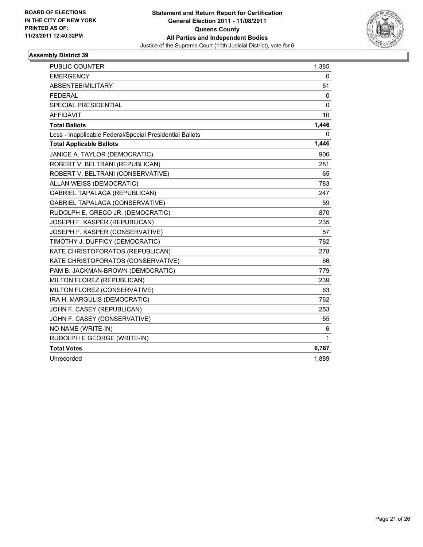

| <b>PUBLIC COUNTER</b>                                    | 1,385 |
|----------------------------------------------------------|-------|
| <b>EMERGENCY</b>                                         | 0     |
| ABSENTEE/MILITARY                                        | 51    |
| <b>FEDERAL</b>                                           | 0     |
| <b>SPECIAL PRESIDENTIAL</b>                              | 0     |
| <b>AFFIDAVIT</b>                                         | 10    |
| <b>Total Ballots</b>                                     | 1,446 |
| Less - Inapplicable Federal/Special Presidential Ballots | 0     |
| <b>Total Applicable Ballots</b>                          | 1,446 |
| JANICE A. TAYLOR (DEMOCRATIC)                            | 906   |
| ROBERT V. BELTRANI (REPUBLICAN)                          | 281   |
| ROBERT V. BELTRANI (CONSERVATIVE)                        | 65    |
| ALLAN WEISS (DEMOCRATIC)                                 | 783   |
| GABRIEL TAPALAGA (REPUBLICAN)                            | 247   |
| <b>GABRIEL TAPALAGA (CONSERVATIVE)</b>                   | 59    |
| RUDOLPH E. GRECO JR. (DEMOCRATIC)                        | 870   |
| JOSEPH F. KASPER (REPUBLICAN)                            | 235   |
| JOSEPH F. KASPER (CONSERVATIVE)                          | 57    |
| TIMOTHY J. DUFFICY (DEMOCRATIC)                          | 782   |
| KATE CHRISTOFORATOS (REPUBLICAN)                         | 278   |
| KATE CHRISTOFORATOS (CONSERVATIVE)                       | 66    |
| PAM B. JACKMAN-BROWN (DEMOCRATIC)                        | 779   |
| MILTON FLOREZ (REPUBLICAN)                               | 239   |
| MILTON FLOREZ (CONSERVATIVE)                             | 63    |
| IRA H. MARGULIS (DEMOCRATIC)                             | 762   |
| JOHN F. CASEY (REPUBLICAN)                               | 253   |
| JOHN F. CASEY (CONSERVATIVE)                             | 55    |
| NO NAME (WRITE-IN)                                       | 6     |
| RUDOLPH E GEORGE (WRITE-IN)                              | 1     |
| <b>Total Votes</b>                                       | 6,787 |
| Unrecorded                                               | 1,889 |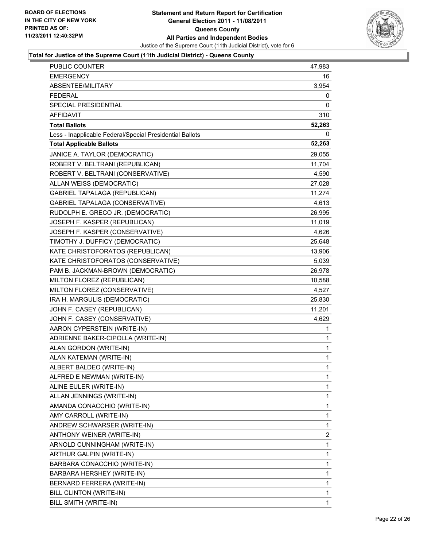

| <b>EMERGENCY</b><br>16<br>3,954<br>ABSENTEE/MILITARY<br><b>FEDERAL</b><br>0<br>SPECIAL PRESIDENTIAL<br>0<br><b>AFFIDAVIT</b><br>310<br><b>Total Ballots</b><br>52,263<br>Less - Inapplicable Federal/Special Presidential Ballots<br>0<br>52,263<br><b>Total Applicable Ballots</b><br>JANICE A. TAYLOR (DEMOCRATIC)<br>29,055<br>ROBERT V. BELTRANI (REPUBLICAN)<br>11,704<br>ROBERT V. BELTRANI (CONSERVATIVE)<br>4,590<br>ALLAN WEISS (DEMOCRATIC)<br>27,028<br><b>GABRIEL TAPALAGA (REPUBLICAN)</b><br>11,274<br>GABRIEL TAPALAGA (CONSERVATIVE)<br>4,613<br>RUDOLPH E. GRECO JR. (DEMOCRATIC)<br>26,995<br>JOSEPH F. KASPER (REPUBLICAN)<br>11,019<br>JOSEPH F. KASPER (CONSERVATIVE)<br>4,626<br>TIMOTHY J. DUFFICY (DEMOCRATIC)<br>25,648<br>KATE CHRISTOFORATOS (REPUBLICAN)<br>13,906<br>KATE CHRISTOFORATOS (CONSERVATIVE)<br>5,039<br>PAM B. JACKMAN-BROWN (DEMOCRATIC)<br>26,978<br>MILTON FLOREZ (REPUBLICAN)<br>10,588<br>MILTON FLOREZ (CONSERVATIVE)<br>4,527<br>IRA H. MARGULIS (DEMOCRATIC)<br>25,830<br>JOHN F. CASEY (REPUBLICAN)<br>11,201<br>JOHN F. CASEY (CONSERVATIVE)<br>4,629<br>AARON CYPERSTEIN (WRITE-IN)<br>1<br>ADRIENNE BAKER-CIPOLLA (WRITE-IN)<br>1<br>ALAN GORDON (WRITE-IN)<br>1<br>ALAN KATEMAN (WRITE-IN)<br>1<br>ALBERT BALDEO (WRITE-IN)<br>$\mathbf{1}$<br>ALFRED E NEWMAN (WRITE-IN)<br>1<br>ALINE EULER (WRITE-IN)<br>1<br>ALLAN JENNINGS (WRITE-IN)<br>1<br>AMANDA CONACCHIO (WRITE-IN)<br>1<br>AMY CARROLL (WRITE-IN)<br>1<br>ANDREW SCHWARSER (WRITE-IN)<br>1<br>ANTHONY WEINER (WRITE-IN)<br>$\mathbf{2}$<br>ARNOLD CUNNINGHAM (WRITE-IN)<br>1<br>ARTHUR GALPIN (WRITE-IN)<br>1<br>BARBARA CONACCHIO (WRITE-IN)<br>1<br>BARBARA HERSHEY (WRITE-IN)<br>1<br>BERNARD FERRERA (WRITE-IN)<br>1<br>BILL CLINTON (WRITE-IN)<br>1<br>BILL SMITH (WRITE-IN)<br>1 | PUBLIC COUNTER | 47,983 |
|----------------------------------------------------------------------------------------------------------------------------------------------------------------------------------------------------------------------------------------------------------------------------------------------------------------------------------------------------------------------------------------------------------------------------------------------------------------------------------------------------------------------------------------------------------------------------------------------------------------------------------------------------------------------------------------------------------------------------------------------------------------------------------------------------------------------------------------------------------------------------------------------------------------------------------------------------------------------------------------------------------------------------------------------------------------------------------------------------------------------------------------------------------------------------------------------------------------------------------------------------------------------------------------------------------------------------------------------------------------------------------------------------------------------------------------------------------------------------------------------------------------------------------------------------------------------------------------------------------------------------------------------------------------------------------------------------------------------------------------------------------------------------------------------------------|----------------|--------|
|                                                                                                                                                                                                                                                                                                                                                                                                                                                                                                                                                                                                                                                                                                                                                                                                                                                                                                                                                                                                                                                                                                                                                                                                                                                                                                                                                                                                                                                                                                                                                                                                                                                                                                                                                                                                          |                |        |
|                                                                                                                                                                                                                                                                                                                                                                                                                                                                                                                                                                                                                                                                                                                                                                                                                                                                                                                                                                                                                                                                                                                                                                                                                                                                                                                                                                                                                                                                                                                                                                                                                                                                                                                                                                                                          |                |        |
|                                                                                                                                                                                                                                                                                                                                                                                                                                                                                                                                                                                                                                                                                                                                                                                                                                                                                                                                                                                                                                                                                                                                                                                                                                                                                                                                                                                                                                                                                                                                                                                                                                                                                                                                                                                                          |                |        |
|                                                                                                                                                                                                                                                                                                                                                                                                                                                                                                                                                                                                                                                                                                                                                                                                                                                                                                                                                                                                                                                                                                                                                                                                                                                                                                                                                                                                                                                                                                                                                                                                                                                                                                                                                                                                          |                |        |
|                                                                                                                                                                                                                                                                                                                                                                                                                                                                                                                                                                                                                                                                                                                                                                                                                                                                                                                                                                                                                                                                                                                                                                                                                                                                                                                                                                                                                                                                                                                                                                                                                                                                                                                                                                                                          |                |        |
|                                                                                                                                                                                                                                                                                                                                                                                                                                                                                                                                                                                                                                                                                                                                                                                                                                                                                                                                                                                                                                                                                                                                                                                                                                                                                                                                                                                                                                                                                                                                                                                                                                                                                                                                                                                                          |                |        |
|                                                                                                                                                                                                                                                                                                                                                                                                                                                                                                                                                                                                                                                                                                                                                                                                                                                                                                                                                                                                                                                                                                                                                                                                                                                                                                                                                                                                                                                                                                                                                                                                                                                                                                                                                                                                          |                |        |
|                                                                                                                                                                                                                                                                                                                                                                                                                                                                                                                                                                                                                                                                                                                                                                                                                                                                                                                                                                                                                                                                                                                                                                                                                                                                                                                                                                                                                                                                                                                                                                                                                                                                                                                                                                                                          |                |        |
|                                                                                                                                                                                                                                                                                                                                                                                                                                                                                                                                                                                                                                                                                                                                                                                                                                                                                                                                                                                                                                                                                                                                                                                                                                                                                                                                                                                                                                                                                                                                                                                                                                                                                                                                                                                                          |                |        |
|                                                                                                                                                                                                                                                                                                                                                                                                                                                                                                                                                                                                                                                                                                                                                                                                                                                                                                                                                                                                                                                                                                                                                                                                                                                                                                                                                                                                                                                                                                                                                                                                                                                                                                                                                                                                          |                |        |
|                                                                                                                                                                                                                                                                                                                                                                                                                                                                                                                                                                                                                                                                                                                                                                                                                                                                                                                                                                                                                                                                                                                                                                                                                                                                                                                                                                                                                                                                                                                                                                                                                                                                                                                                                                                                          |                |        |
|                                                                                                                                                                                                                                                                                                                                                                                                                                                                                                                                                                                                                                                                                                                                                                                                                                                                                                                                                                                                                                                                                                                                                                                                                                                                                                                                                                                                                                                                                                                                                                                                                                                                                                                                                                                                          |                |        |
|                                                                                                                                                                                                                                                                                                                                                                                                                                                                                                                                                                                                                                                                                                                                                                                                                                                                                                                                                                                                                                                                                                                                                                                                                                                                                                                                                                                                                                                                                                                                                                                                                                                                                                                                                                                                          |                |        |
|                                                                                                                                                                                                                                                                                                                                                                                                                                                                                                                                                                                                                                                                                                                                                                                                                                                                                                                                                                                                                                                                                                                                                                                                                                                                                                                                                                                                                                                                                                                                                                                                                                                                                                                                                                                                          |                |        |
|                                                                                                                                                                                                                                                                                                                                                                                                                                                                                                                                                                                                                                                                                                                                                                                                                                                                                                                                                                                                                                                                                                                                                                                                                                                                                                                                                                                                                                                                                                                                                                                                                                                                                                                                                                                                          |                |        |
|                                                                                                                                                                                                                                                                                                                                                                                                                                                                                                                                                                                                                                                                                                                                                                                                                                                                                                                                                                                                                                                                                                                                                                                                                                                                                                                                                                                                                                                                                                                                                                                                                                                                                                                                                                                                          |                |        |
|                                                                                                                                                                                                                                                                                                                                                                                                                                                                                                                                                                                                                                                                                                                                                                                                                                                                                                                                                                                                                                                                                                                                                                                                                                                                                                                                                                                                                                                                                                                                                                                                                                                                                                                                                                                                          |                |        |
|                                                                                                                                                                                                                                                                                                                                                                                                                                                                                                                                                                                                                                                                                                                                                                                                                                                                                                                                                                                                                                                                                                                                                                                                                                                                                                                                                                                                                                                                                                                                                                                                                                                                                                                                                                                                          |                |        |
|                                                                                                                                                                                                                                                                                                                                                                                                                                                                                                                                                                                                                                                                                                                                                                                                                                                                                                                                                                                                                                                                                                                                                                                                                                                                                                                                                                                                                                                                                                                                                                                                                                                                                                                                                                                                          |                |        |
|                                                                                                                                                                                                                                                                                                                                                                                                                                                                                                                                                                                                                                                                                                                                                                                                                                                                                                                                                                                                                                                                                                                                                                                                                                                                                                                                                                                                                                                                                                                                                                                                                                                                                                                                                                                                          |                |        |
|                                                                                                                                                                                                                                                                                                                                                                                                                                                                                                                                                                                                                                                                                                                                                                                                                                                                                                                                                                                                                                                                                                                                                                                                                                                                                                                                                                                                                                                                                                                                                                                                                                                                                                                                                                                                          |                |        |
|                                                                                                                                                                                                                                                                                                                                                                                                                                                                                                                                                                                                                                                                                                                                                                                                                                                                                                                                                                                                                                                                                                                                                                                                                                                                                                                                                                                                                                                                                                                                                                                                                                                                                                                                                                                                          |                |        |
|                                                                                                                                                                                                                                                                                                                                                                                                                                                                                                                                                                                                                                                                                                                                                                                                                                                                                                                                                                                                                                                                                                                                                                                                                                                                                                                                                                                                                                                                                                                                                                                                                                                                                                                                                                                                          |                |        |
|                                                                                                                                                                                                                                                                                                                                                                                                                                                                                                                                                                                                                                                                                                                                                                                                                                                                                                                                                                                                                                                                                                                                                                                                                                                                                                                                                                                                                                                                                                                                                                                                                                                                                                                                                                                                          |                |        |
|                                                                                                                                                                                                                                                                                                                                                                                                                                                                                                                                                                                                                                                                                                                                                                                                                                                                                                                                                                                                                                                                                                                                                                                                                                                                                                                                                                                                                                                                                                                                                                                                                                                                                                                                                                                                          |                |        |
|                                                                                                                                                                                                                                                                                                                                                                                                                                                                                                                                                                                                                                                                                                                                                                                                                                                                                                                                                                                                                                                                                                                                                                                                                                                                                                                                                                                                                                                                                                                                                                                                                                                                                                                                                                                                          |                |        |
|                                                                                                                                                                                                                                                                                                                                                                                                                                                                                                                                                                                                                                                                                                                                                                                                                                                                                                                                                                                                                                                                                                                                                                                                                                                                                                                                                                                                                                                                                                                                                                                                                                                                                                                                                                                                          |                |        |
|                                                                                                                                                                                                                                                                                                                                                                                                                                                                                                                                                                                                                                                                                                                                                                                                                                                                                                                                                                                                                                                                                                                                                                                                                                                                                                                                                                                                                                                                                                                                                                                                                                                                                                                                                                                                          |                |        |
|                                                                                                                                                                                                                                                                                                                                                                                                                                                                                                                                                                                                                                                                                                                                                                                                                                                                                                                                                                                                                                                                                                                                                                                                                                                                                                                                                                                                                                                                                                                                                                                                                                                                                                                                                                                                          |                |        |
|                                                                                                                                                                                                                                                                                                                                                                                                                                                                                                                                                                                                                                                                                                                                                                                                                                                                                                                                                                                                                                                                                                                                                                                                                                                                                                                                                                                                                                                                                                                                                                                                                                                                                                                                                                                                          |                |        |
|                                                                                                                                                                                                                                                                                                                                                                                                                                                                                                                                                                                                                                                                                                                                                                                                                                                                                                                                                                                                                                                                                                                                                                                                                                                                                                                                                                                                                                                                                                                                                                                                                                                                                                                                                                                                          |                |        |
|                                                                                                                                                                                                                                                                                                                                                                                                                                                                                                                                                                                                                                                                                                                                                                                                                                                                                                                                                                                                                                                                                                                                                                                                                                                                                                                                                                                                                                                                                                                                                                                                                                                                                                                                                                                                          |                |        |
|                                                                                                                                                                                                                                                                                                                                                                                                                                                                                                                                                                                                                                                                                                                                                                                                                                                                                                                                                                                                                                                                                                                                                                                                                                                                                                                                                                                                                                                                                                                                                                                                                                                                                                                                                                                                          |                |        |
|                                                                                                                                                                                                                                                                                                                                                                                                                                                                                                                                                                                                                                                                                                                                                                                                                                                                                                                                                                                                                                                                                                                                                                                                                                                                                                                                                                                                                                                                                                                                                                                                                                                                                                                                                                                                          |                |        |
|                                                                                                                                                                                                                                                                                                                                                                                                                                                                                                                                                                                                                                                                                                                                                                                                                                                                                                                                                                                                                                                                                                                                                                                                                                                                                                                                                                                                                                                                                                                                                                                                                                                                                                                                                                                                          |                |        |
|                                                                                                                                                                                                                                                                                                                                                                                                                                                                                                                                                                                                                                                                                                                                                                                                                                                                                                                                                                                                                                                                                                                                                                                                                                                                                                                                                                                                                                                                                                                                                                                                                                                                                                                                                                                                          |                |        |
|                                                                                                                                                                                                                                                                                                                                                                                                                                                                                                                                                                                                                                                                                                                                                                                                                                                                                                                                                                                                                                                                                                                                                                                                                                                                                                                                                                                                                                                                                                                                                                                                                                                                                                                                                                                                          |                |        |
|                                                                                                                                                                                                                                                                                                                                                                                                                                                                                                                                                                                                                                                                                                                                                                                                                                                                                                                                                                                                                                                                                                                                                                                                                                                                                                                                                                                                                                                                                                                                                                                                                                                                                                                                                                                                          |                |        |
|                                                                                                                                                                                                                                                                                                                                                                                                                                                                                                                                                                                                                                                                                                                                                                                                                                                                                                                                                                                                                                                                                                                                                                                                                                                                                                                                                                                                                                                                                                                                                                                                                                                                                                                                                                                                          |                |        |
|                                                                                                                                                                                                                                                                                                                                                                                                                                                                                                                                                                                                                                                                                                                                                                                                                                                                                                                                                                                                                                                                                                                                                                                                                                                                                                                                                                                                                                                                                                                                                                                                                                                                                                                                                                                                          |                |        |
|                                                                                                                                                                                                                                                                                                                                                                                                                                                                                                                                                                                                                                                                                                                                                                                                                                                                                                                                                                                                                                                                                                                                                                                                                                                                                                                                                                                                                                                                                                                                                                                                                                                                                                                                                                                                          |                |        |
|                                                                                                                                                                                                                                                                                                                                                                                                                                                                                                                                                                                                                                                                                                                                                                                                                                                                                                                                                                                                                                                                                                                                                                                                                                                                                                                                                                                                                                                                                                                                                                                                                                                                                                                                                                                                          |                |        |
|                                                                                                                                                                                                                                                                                                                                                                                                                                                                                                                                                                                                                                                                                                                                                                                                                                                                                                                                                                                                                                                                                                                                                                                                                                                                                                                                                                                                                                                                                                                                                                                                                                                                                                                                                                                                          |                |        |
|                                                                                                                                                                                                                                                                                                                                                                                                                                                                                                                                                                                                                                                                                                                                                                                                                                                                                                                                                                                                                                                                                                                                                                                                                                                                                                                                                                                                                                                                                                                                                                                                                                                                                                                                                                                                          |                |        |
|                                                                                                                                                                                                                                                                                                                                                                                                                                                                                                                                                                                                                                                                                                                                                                                                                                                                                                                                                                                                                                                                                                                                                                                                                                                                                                                                                                                                                                                                                                                                                                                                                                                                                                                                                                                                          |                |        |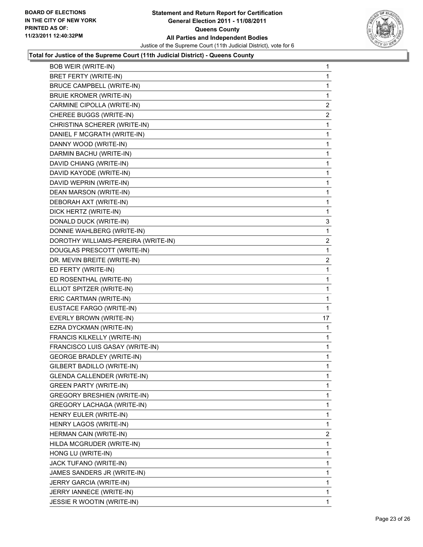

| <b>BOB WEIR (WRITE-IN)</b>          | 1              |
|-------------------------------------|----------------|
| BRET FERTY (WRITE-IN)               | 1              |
| <b>BRUCE CAMPBELL (WRITE-IN)</b>    | 1              |
| <b>BRUIE KROMER (WRITE-IN)</b>      | 1              |
| CARMINE CIPOLLA (WRITE-IN)          | 2              |
| CHEREE BUGGS (WRITE-IN)             | 2              |
| CHRISTINA SCHERER (WRITE-IN)        | 1              |
| DANIEL F MCGRATH (WRITE-IN)         | 1              |
| DANNY WOOD (WRITE-IN)               | 1              |
| DARMIN BACHU (WRITE-IN)             | 1              |
| DAVID CHIANG (WRITE-IN)             | 1              |
| DAVID KAYODE (WRITE-IN)             | 1              |
| DAVID WEPRIN (WRITE-IN)             | 1              |
| DEAN MARSON (WRITE-IN)              | 1              |
| DEBORAH AXT (WRITE-IN)              | 1              |
| DICK HERTZ (WRITE-IN)               | 1              |
| DONALD DUCK (WRITE-IN)              | 3              |
| DONNIE WAHLBERG (WRITE-IN)          | 1              |
| DOROTHY WILLIAMS-PEREIRA (WRITE-IN) | 2              |
| DOUGLAS PRESCOTT (WRITE-IN)         | 1              |
| DR. MEVIN BREITE (WRITE-IN)         | 2              |
| ED FERTY (WRITE-IN)                 | 1              |
| ED ROSENTHAL (WRITE-IN)             | 1              |
| ELLIOT SPITZER (WRITE-IN)           | 1              |
| ERIC CARTMAN (WRITE-IN)             | 1              |
| EUSTACE FARGO (WRITE-IN)            | 1              |
| EVERLY BROWN (WRITE-IN)             | 17             |
| EZRA DYCKMAN (WRITE-IN)             | 1              |
| FRANCIS KILKELLY (WRITE-IN)         | 1              |
| FRANCISCO LUIS GASAY (WRITE-IN)     | 1              |
| <b>GEORGE BRADLEY (WRITE-IN)</b>    | 1              |
| GILBERT BADILLO (WRITE-IN)          | 1              |
| <b>GLENDA CALLENDER (WRITE-IN)</b>  | 1              |
| <b>GREEN PARTY (WRITE-IN)</b>       | 1              |
| <b>GREGORY BRESHIEN (WRITE-IN)</b>  | 1              |
| <b>GREGORY LACHAGA (WRITE-IN)</b>   | 1              |
| HENRY EULER (WRITE-IN)              | 1              |
| HENRY LAGOS (WRITE-IN)              | 1              |
| HERMAN CAIN (WRITE-IN)              | $\overline{2}$ |
| HILDA MCGRUDER (WRITE-IN)           | 1              |
| HONG LU (WRITE-IN)                  | 1              |
| JACK TUFANO (WRITE-IN)              | 1              |
| JAMES SANDERS JR (WRITE-IN)         | 1              |
| JERRY GARCIA (WRITE-IN)             | 1              |
| JERRY IANNECE (WRITE-IN)            | 1              |
| JESSIE R WOOTIN (WRITE-IN)          | 1              |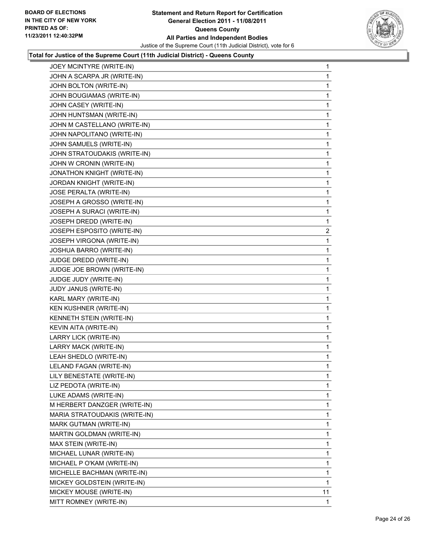

| JOEY MCINTYRE (WRITE-IN)      | $\mathbf{1}$   |
|-------------------------------|----------------|
| JOHN A SCARPA JR (WRITE-IN)   | 1              |
| JOHN BOLTON (WRITE-IN)        | 1              |
| JOHN BOUGIAMAS (WRITE-IN)     | 1              |
| JOHN CASEY (WRITE-IN)         | 1              |
| JOHN HUNTSMAN (WRITE-IN)      | 1              |
| JOHN M CASTELLANO (WRITE-IN)  | 1              |
| JOHN NAPOLITANO (WRITE-IN)    | 1              |
| JOHN SAMUELS (WRITE-IN)       | 1              |
| JOHN STRATOUDAKIS (WRITE-IN)  | 1              |
| JOHN W CRONIN (WRITE-IN)      | 1              |
| JONATHON KNIGHT (WRITE-IN)    | 1              |
| JORDAN KNIGHT (WRITE-IN)      | 1              |
| JOSE PERALTA (WRITE-IN)       | 1              |
| JOSEPH A GROSSO (WRITE-IN)    | 1              |
| JOSEPH A SURACI (WRITE-IN)    | 1              |
| JOSEPH DREDD (WRITE-IN)       | 1              |
| JOSEPH ESPOSITO (WRITE-IN)    | $\overline{2}$ |
| JOSEPH VIRGONA (WRITE-IN)     | 1              |
| JOSHUA BARRO (WRITE-IN)       | 1              |
| JUDGE DREDD (WRITE-IN)        | 1              |
| JUDGE JOE BROWN (WRITE-IN)    | 1              |
| JUDGE JUDY (WRITE-IN)         | 1              |
| JUDY JANUS (WRITE-IN)         | 1              |
| KARL MARY (WRITE-IN)          | 1              |
| KEN KUSHNER (WRITE-IN)        | 1              |
| KENNETH STEIN (WRITE-IN)      | 1              |
| KEVIN AITA (WRITE-IN)         | 1              |
| LARRY LICK (WRITE-IN)         | 1              |
| LARRY MACK (WRITE-IN)         | 1              |
| LEAH SHEDLO (WRITE-IN)        | 1              |
| LELAND FAGAN (WRITE-IN)       | 1              |
| LILY BENESTATE (WRITE-IN)     | 1              |
| LIZ PEDOTA (WRITE-IN)         | $\mathbf{1}$   |
| LUKE ADAMS (WRITE-IN)         | 1              |
| M HERBERT DANZGER (WRITE-IN)  | 1              |
| MARIA STRATOUDAKIS (WRITE-IN) | 1              |
| MARK GUTMAN (WRITE-IN)        | 1              |
| MARTIN GOLDMAN (WRITE-IN)     | 1              |
| MAX STEIN (WRITE-IN)          | 1              |
| MICHAEL LUNAR (WRITE-IN)      | 1              |
| MICHAEL P O'KAM (WRITE-IN)    | 1              |
| MICHELLE BACHMAN (WRITE-IN)   | 1              |
| MICKEY GOLDSTEIN (WRITE-IN)   | $\mathbf{1}$   |
| MICKEY MOUSE (WRITE-IN)       | 11             |
| MITT ROMNEY (WRITE-IN)        | 1              |
|                               |                |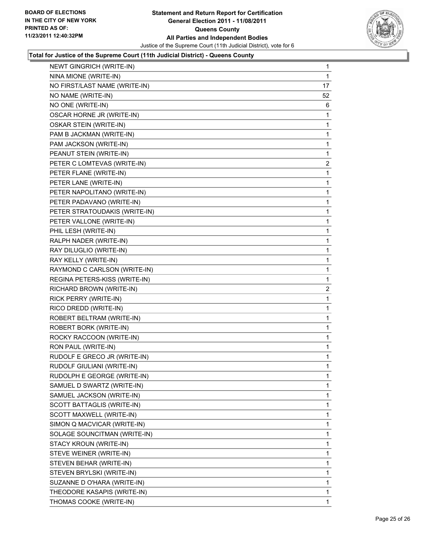

| NEWT GINGRICH (WRITE-IN)      | 1              |
|-------------------------------|----------------|
| NINA MIONE (WRITE-IN)         | 1              |
| NO FIRST/LAST NAME (WRITE-IN) | 17             |
| NO NAME (WRITE-IN)            | 52             |
| NO ONE (WRITE-IN)             | 6              |
| OSCAR HORNE JR (WRITE-IN)     | 1              |
| OSKAR STEIN (WRITE-IN)        | 1              |
| PAM B JACKMAN (WRITE-IN)      | 1              |
| PAM JACKSON (WRITE-IN)        | 1              |
| PEANUT STEIN (WRITE-IN)       | 1              |
| PETER C LOMTEVAS (WRITE-IN)   | $\overline{a}$ |
| PETER FLANE (WRITE-IN)        | 1              |
| PETER LANE (WRITE-IN)         | 1              |
| PETER NAPOLITANO (WRITE-IN)   | 1              |
| PETER PADAVANO (WRITE-IN)     | 1              |
| PETER STRATOUDAKIS (WRITE-IN) | 1              |
| PETER VALLONE (WRITE-IN)      | 1              |
| PHIL LESH (WRITE-IN)          | 1              |
| RALPH NADER (WRITE-IN)        | 1              |
| RAY DILUGLIO (WRITE-IN)       | 1              |
| RAY KELLY (WRITE-IN)          | 1              |
| RAYMOND C CARLSON (WRITE-IN)  | 1              |
| REGINA PETERS-KISS (WRITE-IN) | 1              |
| RICHARD BROWN (WRITE-IN)      | $\overline{2}$ |
| RICK PERRY (WRITE-IN)         | 1              |
| RICO DREDD (WRITE-IN)         | 1              |
| ROBERT BELTRAM (WRITE-IN)     | 1              |
| ROBERT BORK (WRITE-IN)        | 1              |
| ROCKY RACCOON (WRITE-IN)      | 1              |
| RON PAUL (WRITE-IN)           | 1              |
| RUDOLF E GRECO JR (WRITE-IN)  | 1              |
| RUDOLF GIULIANI (WRITE-IN)    | 1              |
| RUDOLPH E GEORGE (WRITE-IN)   | 1              |
| SAMUEL D SWARTZ (WRITE-IN)    | 1              |
| SAMUEL JACKSON (WRITE-IN)     | 1              |
| SCOTT BATTAGLIS (WRITE-IN)    | 1              |
| SCOTT MAXWELL (WRITE-IN)      | 1              |
| SIMON Q MACVICAR (WRITE-IN)   | 1              |
| SOLAGE SOUNCITMAN (WRITE-IN)  | 1              |
| STACY KROUN (WRITE-IN)        | 1              |
| STEVE WEINER (WRITE-IN)       | 1              |
| STEVEN BEHAR (WRITE-IN)       | 1              |
| STEVEN BRYLSKI (WRITE-IN)     | 1              |
| SUZANNE D O'HARA (WRITE-IN)   | 1              |
| THEODORE KASAPIS (WRITE-IN)   | 1              |
| THOMAS COOKE (WRITE-IN)       | 1              |